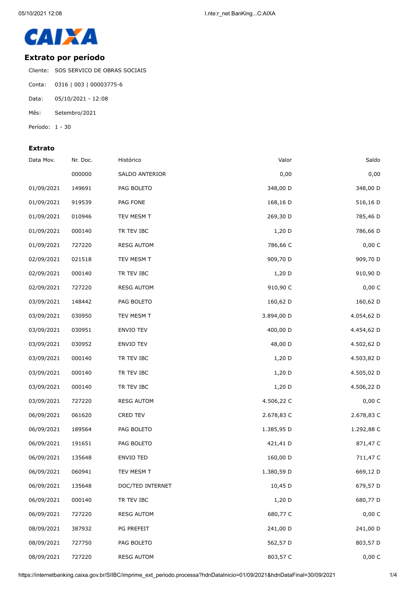

## **Extrato por período**

Cliente: SOS SERVICO DE OBRAS SOCIAIS

- Conta: 0316 | 003 | 00003775-6
- Data: 05/10/2021 12:08
- Mês: Setembro/2021
- Período: 1 30

## **Extrato**

| Data Mov.  | Nr. Doc. | Histórico         | Valor      | Saldo      |
|------------|----------|-------------------|------------|------------|
|            | 000000   | SALDO ANTERIOR    | 0,00       | 0,00       |
| 01/09/2021 | 149691   | PAG BOLETO        | 348,00 D   | 348,00 D   |
| 01/09/2021 | 919539   | PAG FONE          | 168,16 D   | 516,16 D   |
| 01/09/2021 | 010946   | TEV MESM T        | 269,30 D   | 785,46 D   |
| 01/09/2021 | 000140   | TR TEV IBC        | 1,20 D     | 786,66 D   |
| 01/09/2021 | 727220   | <b>RESG AUTOM</b> | 786,66 C   | 0,00 C     |
| 02/09/2021 | 021518   | TEV MESM T        | 909,70 D   | 909,70 D   |
| 02/09/2021 | 000140   | TR TEV IBC        | 1,20 D     | 910,90 D   |
| 02/09/2021 | 727220   | <b>RESG AUTOM</b> | 910,90 C   | 0,00 C     |
| 03/09/2021 | 148442   | PAG BOLETO        | 160,62 D   | 160,62 D   |
| 03/09/2021 | 030950   | TEV MESM T        | 3.894,00 D | 4.054,62 D |
| 03/09/2021 | 030951   | ENVIO TEV         | 400,00 D   | 4.454,62 D |
| 03/09/2021 | 030952   | ENVIO TEV         | 48,00 D    | 4.502,62 D |
| 03/09/2021 | 000140   | TR TEV IBC        | $1,20$ D   | 4.503,82 D |
| 03/09/2021 | 000140   | TR TEV IBC        | 1,20 D     | 4.505,02 D |
| 03/09/2021 | 000140   | TR TEV IBC        | 1,20 D     | 4.506,22 D |
| 03/09/2021 | 727220   | <b>RESG AUTOM</b> | 4.506,22 C | 0,00 C     |
| 06/09/2021 | 061620   | CRED TEV          | 2.678,83 C | 2.678,83 C |
| 06/09/2021 | 189564   | PAG BOLETO        | 1.385,95 D | 1.292,88 C |
| 06/09/2021 | 191651   | PAG BOLETO        | 421,41 D   | 871,47 C   |
| 06/09/2021 | 135648   | <b>ENVIO TED</b>  | 160,00 D   | 711,47 C   |
| 06/09/2021 | 060941   | TEV MESM T        | 1.380,59 D | 669,12 D   |
| 06/09/2021 | 135648   | DOC/TED INTERNET  | 10,45 D    | 679,57 D   |
| 06/09/2021 | 000140   | TR TEV IBC        | $1,20$ D   | 680,77 D   |
| 06/09/2021 | 727220   | <b>RESG AUTOM</b> | 680,77 C   | 0,00 C     |
| 08/09/2021 | 387932   | PG PREFEIT        | 241,00 D   | 241,00 D   |
| 08/09/2021 | 727750   | PAG BOLETO        | 562,57 D   | 803,57 D   |
| 08/09/2021 | 727220   | <b>RESG AUTOM</b> | 803,57 C   | 0,00 C     |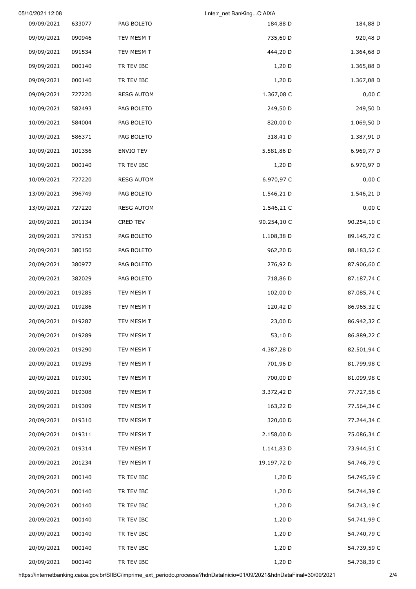|             | I.nte:r net BanKingC:AIXA |                   |        | 05/10/2021 12:08 |
|-------------|---------------------------|-------------------|--------|------------------|
| 184,88 D    | 184,88 D                  | PAG BOLETO        | 633077 | 09/09/2021       |
| 920,48 D    | 735,60 D                  | TEV MESM T        | 090946 | 09/09/2021       |
| 1.364,68 D  | 444,20 D                  | TEV MESM T        | 091534 | 09/09/2021       |
| 1.365,88 D  | 1,20 D                    | TR TEV IBC        | 000140 | 09/09/2021       |
| 1.367,08 D  | 1,20 D                    | TR TEV IBC        | 000140 | 09/09/2021       |
| 0,00 C      | 1.367,08 C                | <b>RESG AUTOM</b> | 727220 | 09/09/2021       |
| 249,50 D    | 249,50 D                  | PAG BOLETO        | 582493 | 10/09/2021       |
| 1.069,50 D  | 820,00 D                  | PAG BOLETO        | 584004 | 10/09/2021       |
| 1.387,91 D  | 318,41 D                  | PAG BOLETO        | 586371 | 10/09/2021       |
| 6.969,77 D  | 5.581,86 D                | <b>ENVIO TEV</b>  | 101356 | 10/09/2021       |
| 6.970,97 D  | $1,20$ D                  | TR TEV IBC        | 000140 | 10/09/2021       |
| 0,00 C      | 6.970,97 C                | <b>RESG AUTOM</b> | 727220 | 10/09/2021       |
| 1.546,21 D  | 1.546,21 D                | PAG BOLETO        | 396749 | 13/09/2021       |
| 0,00 C      | 1.546,21 C                | <b>RESG AUTOM</b> | 727220 | 13/09/2021       |
| 90.254,10 C | 90.254,10 C               | CRED TEV          | 201134 | 20/09/2021       |
| 89.145,72 C | 1.108,38 D                | PAG BOLETO        | 379153 | 20/09/2021       |
| 88.183,52 C | 962,20 D                  | PAG BOLETO        | 380150 | 20/09/2021       |
| 87.906,60 C | 276,92 D                  | PAG BOLETO        | 380977 | 20/09/2021       |
| 87.187,74 C | 718,86 D                  | PAG BOLETO        | 382029 | 20/09/2021       |
| 87.085,74 C | 102,00 D                  | TEV MESM T        | 019285 | 20/09/2021       |
| 86.965,32 C | 120,42 D                  | TEV MESM T        | 019286 | 20/09/2021       |
| 86.942,32 C | 23,00 D                   | TEV MESM T        | 019287 | 20/09/2021       |
| 86.889,22 C | 53,10 D                   | TEV MESM T        | 019289 | 20/09/2021       |
| 82.501,94 C | 4.387,28 D                | TEV MESM T        | 019290 | 20/09/2021       |
| 81.799,98 C | 701,96 D                  | TEV MESM T        | 019295 | 20/09/2021       |
| 81.099,98 C | 700,00 D                  | TEV MESM T        | 019301 | 20/09/2021       |
| 77.727,56 C | 3.372,42 D                | TEV MESM T        | 019308 | 20/09/2021       |
| 77.564,34 C | 163,22 D                  | TEV MESM T        | 019309 | 20/09/2021       |
| 77.244,34 C | 320,00 D                  | TEV MESM T        | 019310 | 20/09/2021       |
| 75.086,34 C | 2.158,00 D                | TEV MESM T        | 019311 | 20/09/2021       |
| 73.944,51 C | 1.141,83 D                | TEV MESM T        | 019314 | 20/09/2021       |
| 54.746,79 C | 19.197,72 D               | TEV MESM T        | 201234 | 20/09/2021       |
| 54.745,59 C | 1,20 D                    | TR TEV IBC        | 000140 | 20/09/2021       |
| 54.744,39 C | 1,20 D                    | TR TEV IBC        | 000140 | 20/09/2021       |
| 54.743,19 C | 1,20 D                    | TR TEV IBC        | 000140 | 20/09/2021       |
| 54.741,99 C | 1,20 D                    | TR TEV IBC        | 000140 | 20/09/2021       |
| 54.740,79 C | 1,20 D                    | TR TEV IBC        | 000140 | 20/09/2021       |
| 54.739,59 C | 1,20 D                    | TR TEV IBC        | 000140 | 20/09/2021       |
| 54.738,39 C | 1,20 D                    | TR TEV IBC        | 000140 | 20/09/2021       |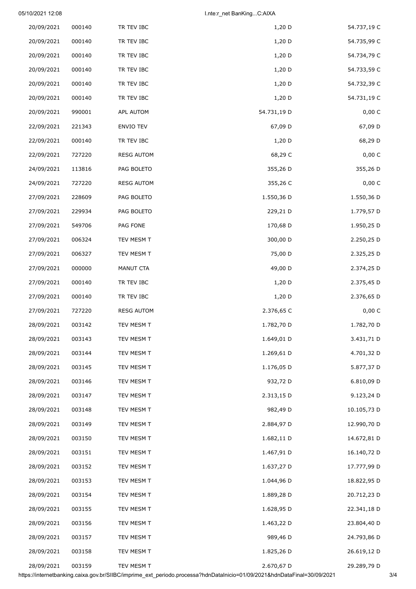## 05/10/2021 12:08 I.nte:r\_net BanKing...C:AIXA

| 54.737,19 C | 1,20 D      | TR TEV IBC        | 000140 | 20/09/2021 |
|-------------|-------------|-------------------|--------|------------|
| 54.735,99 C | 1,20 D      | TR TEV IBC        | 000140 | 20/09/2021 |
| 54.734,79 C | 1,20 D      | TR TEV IBC        | 000140 | 20/09/2021 |
| 54.733,59 C | 1,20 D      | TR TEV IBC        | 000140 | 20/09/2021 |
| 54.732,39 C | 1,20 D      | TR TEV IBC        | 000140 | 20/09/2021 |
| 54.731,19 C | $1,20$ D    | TR TEV IBC        | 000140 | 20/09/2021 |
| 0,00 C      | 54.731,19 D | APL AUTOM         | 990001 | 20/09/2021 |
| 67,09 D     | 67,09 D     | ENVIO TEV         | 221343 | 22/09/2021 |
| 68,29 D     | $1,20$ D    | TR TEV IBC        | 000140 | 22/09/2021 |
| 0,00 C      | 68,29 C     | <b>RESG AUTOM</b> | 727220 | 22/09/2021 |
| 355,26 D    | 355,26 D    | PAG BOLETO        | 113816 | 24/09/2021 |
| 0,00C       | 355,26 C    | <b>RESG AUTOM</b> | 727220 | 24/09/2021 |
| 1.550,36 D  | 1.550,36 D  | PAG BOLETO        | 228609 | 27/09/2021 |
| 1.779,57 D  | 229,21 D    | PAG BOLETO        | 229934 | 27/09/2021 |
| 1.950,25 D  | 170,68 D    | PAG FONE          | 549706 | 27/09/2021 |
| 2.250,25 D  | 300,00 D    | TEV MESM T        | 006324 | 27/09/2021 |
| 2.325,25 D  | 75,00 D     | TEV MESM T        | 006327 | 27/09/2021 |
| 2.374,25 D  | 49,00 D     | MANUT CTA         | 000000 | 27/09/2021 |
| 2.375,45 D  | 1,20 D      | TR TEV IBC        | 000140 | 27/09/2021 |
| 2.376,65 D  | 1,20 D      | TR TEV IBC        | 000140 | 27/09/2021 |
| 0,00 C      | 2.376,65 C  | <b>RESG AUTOM</b> | 727220 | 27/09/2021 |
| 1.782,70 D  | 1.782,70 D  | TEV MESM T        | 003142 | 28/09/2021 |
| 3.431,71 D  | 1.649,01 D  | TEV MESM T        | 003143 | 28/09/2021 |
| 4.701,32 D  | 1.269,61 D  | TEV MESM T        | 003144 | 28/09/2021 |
| 5.877,37 D  | 1.176,05 D  | TEV MESM T        | 003145 | 28/09/2021 |
| 6.810,09 D  | 932,72 D    | TEV MESM T        | 003146 | 28/09/2021 |
| 9.123,24 D  | 2.313,15 D  | TEV MESM T        | 003147 | 28/09/2021 |
| 10.105,73 D | 982,49 D    | TEV MESM T        | 003148 | 28/09/2021 |
| 12.990,70 D | 2.884,97 D  | TEV MESM T        | 003149 | 28/09/2021 |
| 14.672,81 D | 1.682,11 D  | TEV MESM T        | 003150 | 28/09/2021 |
| 16.140,72 D | 1.467,91 D  | TEV MESM T        | 003151 | 28/09/2021 |
| 17.777,99 D | 1.637,27 D  | TEV MESM T        | 003152 | 28/09/2021 |
| 18.822,95 D | 1.044,96 D  | TEV MESM T        | 003153 | 28/09/2021 |
| 20.712,23 D | 1.889,28 D  | TEV MESM T        | 003154 | 28/09/2021 |
| 22.341,18 D | 1.628,95 D  | TEV MESM T        | 003155 | 28/09/2021 |
| 23.804,40 D | 1.463,22 D  | TEV MESM T        | 003156 | 28/09/2021 |
| 24.793,86 D | 989,46 D    | TEV MESM T        | 003157 | 28/09/2021 |
| 26.619,12 D | 1.825,26 D  | TEV MESM T        | 003158 | 28/09/2021 |
| 29.289,79 D | 2.670,67 D  | TEV MESM T        | 003159 | 28/09/2021 |

https://internetbanking.caixa.gov.br/SIIBC/imprime\_ext\_periodo.processa?hdnDataInicio=01/09/2021&hdnDataFinal=30/09/2021 3/4